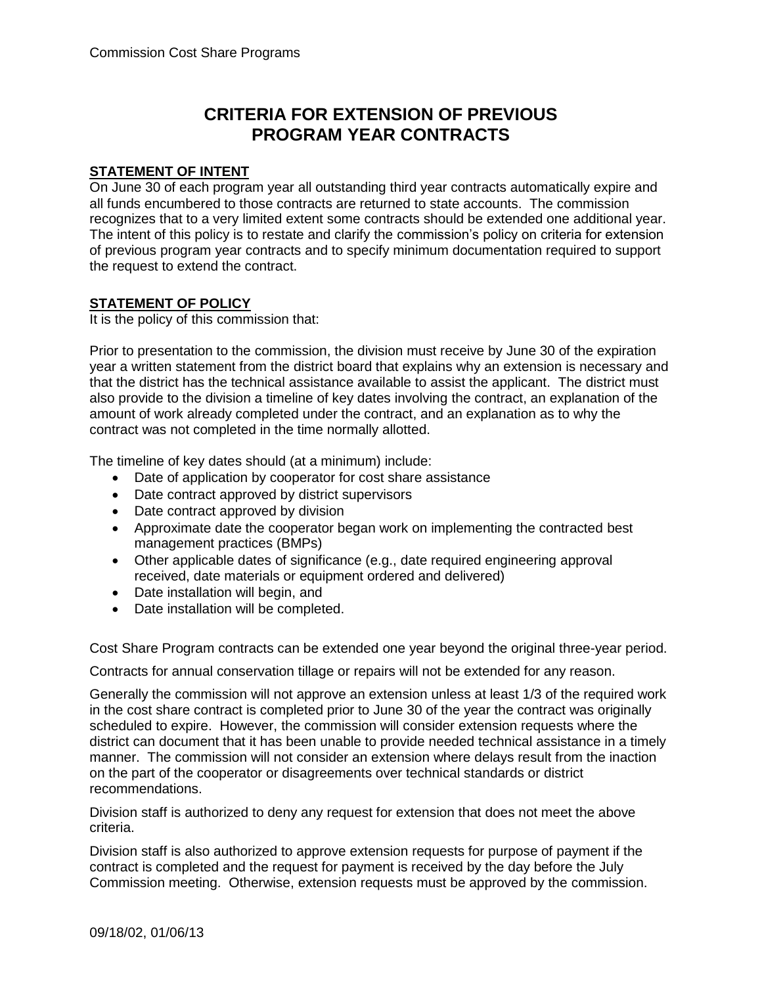## **CRITERIA FOR EXTENSION OF PREVIOUS PROGRAM YEAR CONTRACTS**

## **STATEMENT OF INTENT**

On June 30 of each program year all outstanding third year contracts automatically expire and all funds encumbered to those contracts are returned to state accounts. The commission recognizes that to a very limited extent some contracts should be extended one additional year. The intent of this policy is to restate and clarify the commission's policy on criteria for extension of previous program year contracts and to specify minimum documentation required to support the request to extend the contract.

## **STATEMENT OF POLICY**

It is the policy of this commission that:

Prior to presentation to the commission, the division must receive by June 30 of the expiration year a written statement from the district board that explains why an extension is necessary and that the district has the technical assistance available to assist the applicant. The district must also provide to the division a timeline of key dates involving the contract, an explanation of the amount of work already completed under the contract, and an explanation as to why the contract was not completed in the time normally allotted.

The timeline of key dates should (at a minimum) include:

- Date of application by cooperator for cost share assistance
- Date contract approved by district supervisors
- Date contract approved by division
- Approximate date the cooperator began work on implementing the contracted best management practices (BMPs)
- Other applicable dates of significance (e.g., date required engineering approval received, date materials or equipment ordered and delivered)
- Date installation will begin, and
- Date installation will be completed.

Cost Share Program contracts can be extended one year beyond the original three-year period.

Contracts for annual conservation tillage or repairs will not be extended for any reason.

Generally the commission will not approve an extension unless at least 1/3 of the required work in the cost share contract is completed prior to June 30 of the year the contract was originally scheduled to expire. However, the commission will consider extension requests where the district can document that it has been unable to provide needed technical assistance in a timely manner. The commission will not consider an extension where delays result from the inaction on the part of the cooperator or disagreements over technical standards or district recommendations.

Division staff is authorized to deny any request for extension that does not meet the above criteria.

Division staff is also authorized to approve extension requests for purpose of payment if the contract is completed and the request for payment is received by the day before the July Commission meeting. Otherwise, extension requests must be approved by the commission.